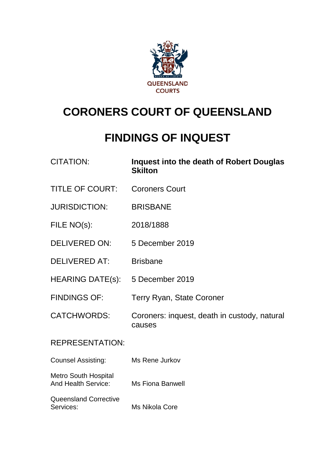

# **CORONERS COURT OF QUEENSLAND**

## **FINDINGS OF INQUEST**

| <b>CITATION:</b>                                          | Inquest into the death of Robert Douglas<br><b>Skilton</b> |
|-----------------------------------------------------------|------------------------------------------------------------|
| <b>TITLE OF COURT:</b>                                    | <b>Coroners Court</b>                                      |
| <b>JURISDICTION:</b>                                      | <b>BRISBANE</b>                                            |
| FILE NO(s):                                               | 2018/1888                                                  |
| <b>DELIVERED ON:</b>                                      | 5 December 2019                                            |
| <b>DELIVERED AT:</b>                                      | <b>Brisbane</b>                                            |
| HEARING DATE(s): 5 December 2019                          |                                                            |
| <b>FINDINGS OF:</b>                                       | <b>Terry Ryan, State Coroner</b>                           |
| <b>CATCHWORDS:</b>                                        | Coroners: inquest, death in custody, natural<br>causes     |
| <b>REPRESENTATION:</b>                                    |                                                            |
| <b>Counsel Assisting:</b>                                 | Ms Rene Jurkov                                             |
| <b>Metro South Hospital</b><br><b>And Health Service:</b> | <b>Ms Fiona Banwell</b>                                    |
| <b>Queensland Corrective</b><br>Services:                 | Ms Nikola Core                                             |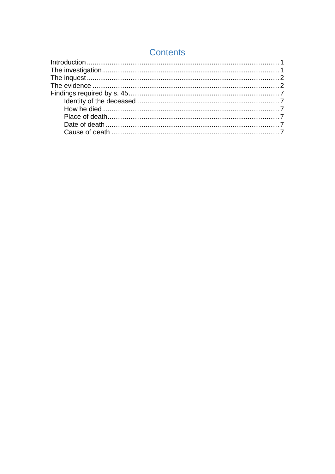| <b>Contents</b> |  |  |
|-----------------|--|--|
|                 |  |  |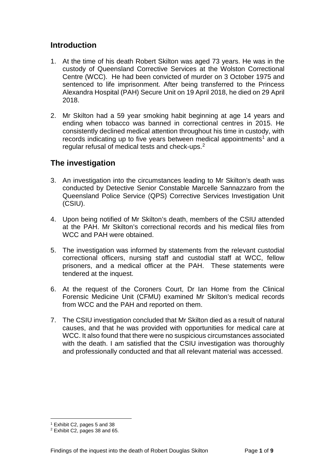### <span id="page-2-0"></span>**Introduction**

- 1. At the time of his death Robert Skilton was aged 73 years. He was in the custody of Queensland Corrective Services at the Wolston Correctional Centre (WCC). He had been convicted of murder on 3 October 1975 and sentenced to life imprisonment. After being transferred to the Princess Alexandra Hospital (PAH) Secure Unit on 19 April 2018, he died on 29 April 2018.
- 2. Mr Skilton had a 59 year smoking habit beginning at age 14 years and ending when tobacco was banned in correctional centres in 2015. He consistently declined medical attention throughout his time in custody, with records indicating up to five years between medical appointments<sup>[1](#page-2-2)</sup> and a regular refusal of medical tests and check-ups. [2](#page-2-3)

## <span id="page-2-1"></span>**The investigation**

- 3. An investigation into the circumstances leading to Mr Skilton's death was conducted by Detective Senior Constable Marcelle Sannazzaro from the Queensland Police Service (QPS) Corrective Services Investigation Unit (CSIU).
- 4. Upon being notified of Mr Skilton's death, members of the CSIU attended at the PAH. Mr Skilton's correctional records and his medical files from WCC and PAH were obtained.
- 5. The investigation was informed by statements from the relevant custodial correctional officers, nursing staff and custodial staff at WCC, fellow prisoners, and a medical officer at the PAH. These statements were tendered at the inquest.
- 6. At the request of the Coroners Court, Dr Ian Home from the Clinical Forensic Medicine Unit (CFMU) examined Mr Skilton's medical records from WCC and the PAH and reported on them.
- 7. The CSIU investigation concluded that Mr Skilton died as a result of natural causes, and that he was provided with opportunities for medical care at WCC. It also found that there were no suspicious circumstances associated with the death. I am satisfied that the CSIU investigation was thoroughly and professionally conducted and that all relevant material was accessed.

<span id="page-2-2"></span><sup>&</sup>lt;sup>1</sup> Exhibit C2, pages 5 and 38  $^2$  Exhibit C2, pages 38 and 65.  $\overline{a}$ 

<span id="page-2-3"></span>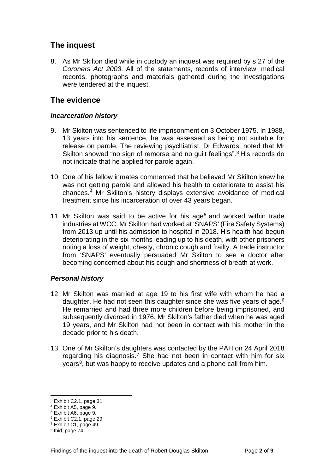## <span id="page-3-0"></span>**The inquest**

8. As Mr Skilton died while in custody an inquest was required by s 27 of the *Coroners Act 2003*. All of the statements, records of interview, medical records, photographs and materials gathered during the investigations were tendered at the inquest.

## <span id="page-3-1"></span>**The evidence**

#### *Incarceration history*

- 9. Mr Skilton was sentenced to life imprisonment on 3 October 1975. In 1988, 13 years into his sentence, he was assessed as being not suitable for release on parole. The reviewing psychiatrist, Dr Edwards, noted that Mr Skilton showed "no sign of remorse and no guilt feelings".<sup>[3](#page-3-2)</sup> His records do not indicate that he applied for parole again.
- 10. One of his fellow inmates commented that he believed Mr Skilton knew he was not getting parole and allowed his health to deteriorate to assist his chances. [4](#page-3-3) Mr Skilton's history displays extensive avoidance of medical treatment since his incarceration of over 43 years began.
- 11. Mr Skilton was said to be active for his age<sup>[5](#page-3-4)</sup> and worked within trade industries at WCC. Mr Skilton had worked at 'SNAPS' (Fire Safety Systems) from 2013 up until his admission to hospital in 2018. His health had begun deteriorating in the six months leading up to his death, with other prisoners noting a loss of weight, chesty, chronic cough and frailty. A trade instructor from 'SNAPS' eventually persuaded Mr Skilton to see a doctor after becoming concerned about his cough and shortness of breath at work.

#### *Personal history*

- 12. Mr Skilton was married at age 19 to his first wife with whom he had a daughter. He had not seen this daughter since she was five years of age.<sup>[6](#page-3-5)</sup> He remarried and had three more children before being imprisoned, and subsequently divorced in 1976. Mr Skilton's father died when he was aged 19 years, and Mr Skilton had not been in contact with his mother in the decade prior to his death.
- 13. One of Mr Skilton's daughters was contacted by the PAH on 24 April 2018 regarding his diagnosis.<sup>[7](#page-3-6)</sup> She had not been in contact with him for six years<sup>8</sup>, but was happy to receive updates and a phone call from him.

 $\overline{a}$ 

<span id="page-3-2"></span><sup>3</sup> Exhibit C2.1, page 31.

<span id="page-3-3"></span><sup>4</sup> Exhibit A5, page 9.

<span id="page-3-4"></span><sup>5</sup> Exhibit A6, page 9.

<span id="page-3-5"></span><sup>6</sup> Exhibit C2.1, page 29.

<span id="page-3-6"></span><sup>7</sup> Exhibit C1, page 49.

<span id="page-3-7"></span> $8$  Ibid, page  $74$ .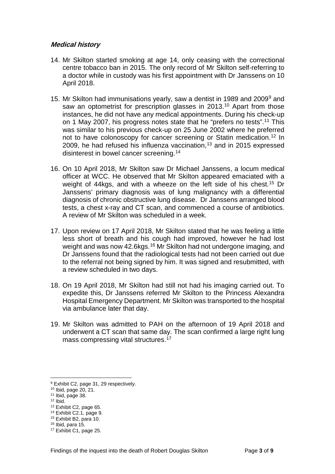#### **Medical history**

- 14. Mr Skilton started smoking at age 14, only ceasing with the correctional centre tobacco ban in 2015. The only record of Mr Skilton self-referring to a doctor while in custody was his first appointment with Dr Janssens on 10 April 2018.
- 15. Mr Skilton had immunisations yearly, saw a dentist in 1[9](#page-4-0)89 and 2009<sup>9</sup> and saw an optometrist for prescription glasses in 2013.<sup>[10](#page-4-1)</sup> Apart from those instances, he did not have any medical appointments. During his check-up on 1 May 2007, his progress notes state that he "prefers no tests".<sup>[11](#page-4-2)</sup> This was similar to his previous check-up on 25 June 2002 where he preferred not to have colonoscopy for cancer screening or Statin medication. [12](#page-4-3) In 2009, he had refused his influenza vaccination, [13](#page-4-4) and in 2015 expressed disinterest in bowel cancer screening. [14](#page-4-5)
- 16. On 10 April 2018, Mr Skilton saw Dr Michael Janssens, a locum medical officer at WCC. He observed that Mr Skilton appeared emaciated with a weight of 44kgs, and with a wheeze on the left side of his chest. [15](#page-4-6) Dr Janssens' primary diagnosis was of lung malignancy with a differential diagnosis of chronic obstructive lung disease. Dr Janssens arranged blood tests, a chest x-ray and CT scan, and commenced a course of antibiotics. A review of Mr Skilton was scheduled in a week.
- 17. Upon review on 17 April 2018, Mr Skilton stated that he was feeling a little less short of breath and his cough had improved, however he had lost weight and was now 42.6kgs.<sup>[16](#page-4-7)</sup> Mr Skilton had not undergone imaging, and Dr Janssens found that the radiological tests had not been carried out due to the referral not being signed by him. It was signed and resubmitted, with a review scheduled in two days.
- 18. On 19 April 2018, Mr Skilton had still not had his imaging carried out. To expedite this, Dr Janssens referred Mr Skilton to the Princess Alexandra Hospital Emergency Department. Mr Skilton was transported to the hospital via ambulance later that day.
- 19. Mr Skilton was admitted to PAH on the afternoon of 19 April 2018 and underwent a CT scan that same day. The scan confirmed a large right lung mass compressing vital structures. [17](#page-4-8)

<span id="page-4-3"></span> $12$  Ibid.

 $\overline{a}$ 

<sup>9</sup> Exhibit C2, page 31, 29 respectively.

<span id="page-4-2"></span><span id="page-4-1"></span><span id="page-4-0"></span><sup>10</sup> Ibid, page 20, 21.<br><sup>11</sup> Ibid, page 38.

<span id="page-4-4"></span><sup>13</sup> Exhibit C2, page 65.

<span id="page-4-5"></span><sup>&</sup>lt;sup>14</sup> Exhibit C2.1, page 9.<br><sup>15</sup> Exhibit B2, para 10.

<span id="page-4-8"></span><span id="page-4-7"></span><span id="page-4-6"></span> $16$  Ibid, para 15. 16 Ibid, para 15.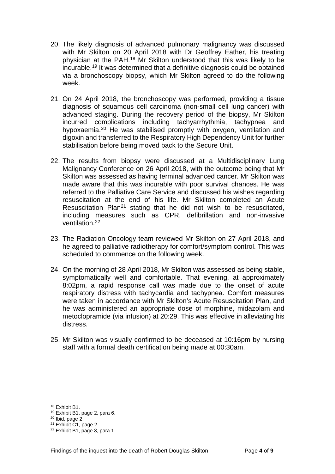- 20. The likely diagnosis of advanced pulmonary malignancy was discussed with Mr Skilton on 20 April 2018 with Dr Geoffrey Eather, his treating physician at the PAH[.18](#page-5-0) Mr Skilton understood that this was likely to be incurable.[19](#page-5-1) It was determined that a definitive diagnosis could be obtained via a bronchoscopy biopsy, which Mr Skilton agreed to do the following week.
- 21. On 24 April 2018, the bronchoscopy was performed, providing a tissue diagnosis of squamous cell carcinoma (non-small cell lung cancer) with advanced staging. During the recovery period of the biopsy, Mr Skilton incurred complications including tachyarrhythmia, tachypnea and hypoxaemia.<sup>[20](#page-5-2)</sup> He was stabilised promptly with oxygen, ventilation and digoxin and transferred to the Respiratory High Dependency Unit for further stabilisation before being moved back to the Secure Unit.
- 22. The results from biopsy were discussed at a Multidisciplinary Lung Malignancy Conference on 26 April 2018, with the outcome being that Mr Skilton was assessed as having terminal advanced cancer. Mr Skilton was made aware that this was incurable with poor survival chances. He was referred to the Palliative Care Service and discussed his wishes regarding resuscitation at the end of his life. Mr Skilton completed an Acute Resuscitation Plan<sup>[21](#page-5-3)</sup> stating that he did not wish to be resuscitated. including measures such as CPR, defibrillation and non-invasive ventilation.[22](#page-5-4)
- 23. The Radiation Oncology team reviewed Mr Skilton on 27 April 2018, and he agreed to palliative radiotherapy for comfort/symptom control. This was scheduled to commence on the following week.
- 24. On the morning of 28 April 2018, Mr Skilton was assessed as being stable, symptomatically well and comfortable. That evening, at approximately 8:02pm, a rapid response call was made due to the onset of acute respiratory distress with tachycardia and tachypnea. Comfort measures were taken in accordance with Mr Skilton's Acute Resuscitation Plan, and he was administered an appropriate dose of morphine, midazolam and metoclopramide (via infusion) at 20:29. This was effective in alleviating his distress.
- 25. Mr Skilton was visually confirmed to be deceased at 10:16pm by nursing staff with a formal death certification being made at 00:30am.

 $\overline{a}$ 

<span id="page-5-1"></span><span id="page-5-0"></span><sup>&</sup>lt;sup>18</sup> Exhibit B1, page 2, para 6.<br><sup>20</sup> Ibid, page 2.<br><sup>21</sup> Exhibit C1, page 2.<br><sup>22</sup> Exhibit B1, page 3, para 1.

<span id="page-5-2"></span>

<span id="page-5-3"></span>

<span id="page-5-4"></span>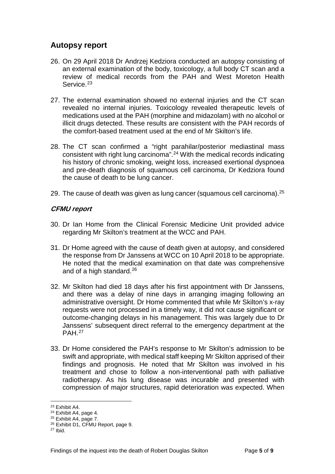## **Autopsy report**

- 26. On 29 April 2018 Dr Andrzej Kedziora conducted an autopsy consisting of an external examination of the body, toxicology, a full body CT scan and a review of medical records from the PAH and West Moreton Health Service.<sup>[23](#page-6-0)</sup>
- 27. The external examination showed no external injuries and the CT scan revealed no internal injuries. Toxicology revealed therapeutic levels of medications used at the PAH (morphine and midazolam) with no alcohol or illicit drugs detected. These results are consistent with the PAH records of the comfort-based treatment used at the end of Mr Skilton's life.
- 28. The CT scan confirmed a "right parahilar/posterior mediastinal mass consistent with right lung carcinoma". [24](#page-6-1) With the medical records indicating his history of chronic smoking, weight loss, increased exertional dyspnoea and pre-death diagnosis of squamous cell carcinoma, Dr Kedziora found the cause of death to be lung cancer.
- 29. The cause of death was given as lung cancer (squamous cell carcinoma). $^{25}$  $^{25}$  $^{25}$

#### **CFMU report**

- 30. Dr Ian Home from the Clinical Forensic Medicine Unit provided advice regarding Mr Skilton's treatment at the WCC and PAH.
- 31. Dr Home agreed with the cause of death given at autopsy, and considered the response from Dr Janssens at WCC on 10 April 2018 to be appropriate. He noted that the medical examination on that date was comprehensive and of a high standard.<sup>26</sup>
- 32. Mr Skilton had died 18 days after his first appointment with Dr Janssens, and there was a delay of nine days in arranging imaging following an administrative oversight. Dr Home commented that while Mr Skilton's x-ray requests were not processed in a timely way, it did not cause significant or outcome-changing delays in his management. This was largely due to Dr Janssens' subsequent direct referral to the emergency department at the PAH.[27](#page-6-4)
- 33. Dr Home considered the PAH's response to Mr Skilton's admission to be swift and appropriate, with medical staff keeping Mr Skilton apprised of their findings and prognosis. He noted that Mr Skilton was involved in his treatment and chose to follow a non-interventional path with palliative radiotherapy. As his lung disease was incurable and presented with compression of major structures, rapid deterioration was expected. When

<span id="page-6-0"></span><sup>&</sup>lt;sup>23</sup> Exhibit A4.

<span id="page-6-1"></span><sup>&</sup>lt;sup>24</sup> Exhibit A4, page 4.<br><sup>25</sup> Exhibit A4, page 7.

<span id="page-6-3"></span><span id="page-6-2"></span><sup>26</sup> Exhibit D1, CFMU Report, page 9.

<span id="page-6-4"></span><sup>27</sup> Ibid.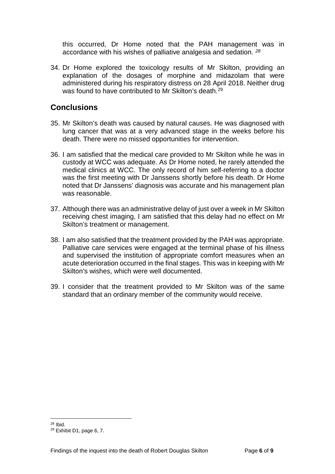this occurred, Dr Home noted that the PAH management was in accordance with his wishes of palliative analgesia and sedation. *[28](#page-7-0)*

34. Dr Home explored the toxicology results of Mr Skilton, providing an explanation of the dosages of morphine and midazolam that were administered during his respiratory distress on 28 April 2018. Neither drug was found to have contributed to Mr Skilton's death.<sup>[29](#page-7-1)</sup>

#### **Conclusions**

- 35. Mr Skilton's death was caused by natural causes. He was diagnosed with lung cancer that was at a very advanced stage in the weeks before his death. There were no missed opportunities for intervention.
- 36. I am satisfied that the medical care provided to Mr Skilton while he was in custody at WCC was adequate. As Dr Home noted, he rarely attended the medical clinics at WCC. The only record of him self-referring to a doctor was the first meeting with Dr Janssens shortly before his death. Dr Home noted that Dr Janssens' diagnosis was accurate and his management plan was reasonable.
- 37. Although there was an administrative delay of just over a week in Mr Skilton receiving chest imaging, I am satisfied that this delay had no effect on Mr Skilton's treatment or management.
- 38. I am also satisfied that the treatment provided by the PAH was appropriate. Palliative care services were engaged at the terminal phase of his illness and supervised the institution of appropriate comfort measures when an acute deterioration occurred in the final stages. This was in keeping with Mr Skilton's wishes, which were well documented.
- 39. I consider that the treatment provided to Mr Skilton was of the same standard that an ordinary member of the community would receive.

<sup>28</sup> Ibid.  $\overline{a}$ 

<span id="page-7-1"></span><span id="page-7-0"></span><sup>29</sup> Exhibit D1, page 6, 7.